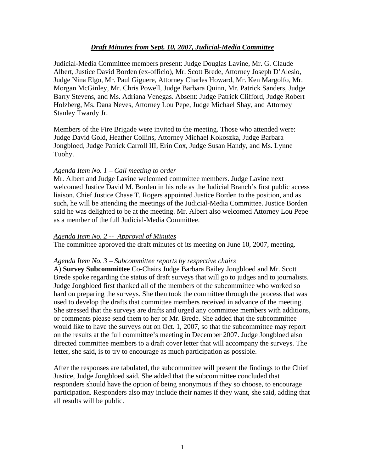# *Draft Minutes from Sept. 10, 2007, Judicial-Media Committee*

Judicial-Media Committee members present: Judge Douglas Lavine, Mr. G. Claude Albert, Justice David Borden (ex-officio), Mr. Scott Brede, Attorney Joseph D'Alesio, Judge Nina Elgo, Mr. Paul Giguere, Attorney Charles Howard, Mr. Ken Margolfo, Mr. Morgan McGinley, Mr. Chris Powell, Judge Barbara Quinn, Mr. Patrick Sanders, Judge Barry Stevens, and Ms. Adriana Venegas. Absent: Judge Patrick Clifford, Judge Robert Holzberg, Ms. Dana Neves, Attorney Lou Pepe, Judge Michael Shay, and Attorney Stanley Twardy Jr.

Members of the Fire Brigade were invited to the meeting. Those who attended were: Judge David Gold, Heather Collins, Attorney Michael Kokoszka, Judge Barbara Jongbloed, Judge Patrick Carroll III, Erin Cox, Judge Susan Handy, and Ms. Lynne Tuohy.

### *Agenda Item No. 1 – Call meeting to order*

Mr. Albert and Judge Lavine welcomed committee members. Judge Lavine next welcomed Justice David M. Borden in his role as the Judicial Branch's first public access liaison. Chief Justice Chase T. Rogers appointed Justice Borden to the position, and as such, he will be attending the meetings of the Judicial-Media Committee. Justice Borden said he was delighted to be at the meeting. Mr. Albert also welcomed Attorney Lou Pepe as a member of the full Judicial-Media Committee.

#### *Agenda Item No. 2 -- Approval of Minutes*

The committee approved the draft minutes of its meeting on June 10, 2007, meeting.

#### *Agenda Item No. 3 – Subcommittee reports by respective chairs*

A) **Survey Subcommittee** Co-Chairs Judge Barbara Bailey Jongbloed and Mr. Scott Brede spoke regarding the status of draft surveys that will go to judges and to journalists. Judge Jongbloed first thanked all of the members of the subcommittee who worked so hard on preparing the surveys. She then took the committee through the process that was used to develop the drafts that committee members received in advance of the meeting. She stressed that the surveys are drafts and urged any committee members with additions, or comments please send them to her or Mr. Brede. She added that the subcommittee would like to have the surveys out on Oct. 1, 2007, so that the subcommittee may report on the results at the full committee's meeting in December 2007. Judge Jongbloed also directed committee members to a draft cover letter that will accompany the surveys. The letter, she said, is to try to encourage as much participation as possible.

After the responses are tabulated, the subcommittee will present the findings to the Chief Justice, Judge Jongbloed said. She added that the subcommittee concluded that responders should have the option of being anonymous if they so choose, to encourage participation. Responders also may include their names if they want, she said, adding that all results will be public.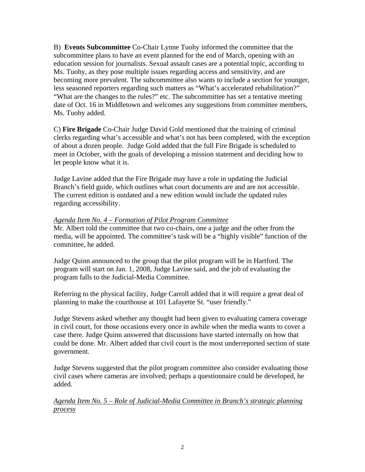B) **Events Subcommittee** Co-Chair Lynne Tuohy informed the committee that the subcommittee plans to have an event planned for the end of March, opening with an education session for journalists. Sexual assault cases are a potential topic, according to Ms. Tuohy, as they pose multiple issues regarding access and sensitivity, and are becoming more prevalent. The subcommittee also wants to include a section for younger, less seasoned reporters regarding such matters as "What's accelerated rehabilitation?" "What are the changes to the rules?" etc. The subcommittee has set a tentative meeting date of Oct. 16 in Middletown and welcomes any suggestions from committee members, Ms. Tuohy added.

C) **Fire Brigade** Co-Chair Judge David Gold mentioned that the training of criminal clerks regarding what's accessible and what's not has been completed, with the exception of about a dozen people. Judge Gold added that the full Fire Brigade is scheduled to meet in October, with the goals of developing a mission statement and deciding how to let people know what it is.

Judge Lavine added that the Fire Brigade may have a role in updating the Judicial Branch's field guide, which outlines what court documents are and are not accessible. The current edition is outdated and a new edition would include the updated rules regarding accessibility.

## *Agenda Item No. 4 – Formation of Pilot Program Committee*

Mr. Albert told the committee that two co-chairs, one a judge and the other from the media, will be appointed. The committee's task will be a "highly visible" function of the committee, he added.

Judge Quinn announced to the group that the pilot program will be in Hartford. The program will start on Jan. 1, 2008, Judge Lavine said, and the job of evaluating the program falls to the Judicial-Media Committee.

Referring to the physical facility, Judge Carroll added that it will require a great deal of planning to make the courthouse at 101 Lafayette St. "user friendly."

Judge Stevens asked whether any thought had been given to evaluating camera coverage in civil court, for those occasions every once in awhile when the media wants to cover a case there. Judge Quinn answered that discussions have started internally on how that could be done. Mr. Albert added that civil court is the most underreported section of state government.

Judge Stevens suggested that the pilot program committee also consider evaluating those civil cases where cameras are involved; perhaps a questionnaire could be developed, he added.

*Agenda Item No. 5 – Role of Judicial-Media Committee in Branch's strategic planning process*